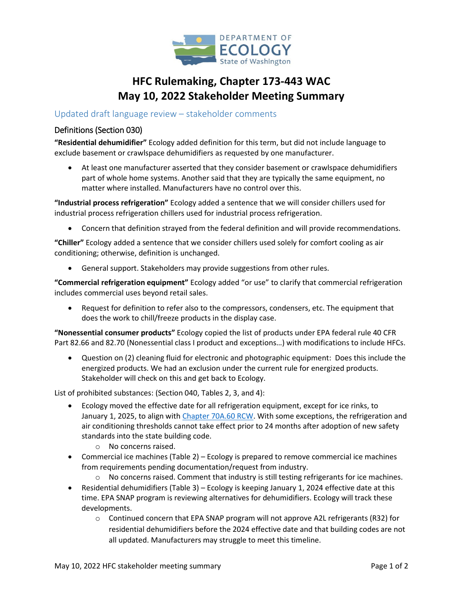

# **HFC Rulemaking, Chapter 173-443 WAC May 10, 2022 Stakeholder Meeting Summary**

### Updated draft language review – stakeholder comments

#### Definitions (Section 030)

**"Residential dehumidifier"** Ecology added definition for this term, but did not include language to exclude basement or crawlspace dehumidifiers as requested by one manufacturer.

• At least one manufacturer asserted that they consider basement or crawlspace dehumidifiers part of whole home systems. Another said that they are typically the same equipment, no matter where installed. Manufacturers have no control over this.

**"Industrial process refrigeration"** Ecology added a sentence that we will consider chillers used for industrial process refrigeration chillers used for industrial process refrigeration.

• Concern that definition strayed from the federal definition and will provide recommendations.

**"Chiller"** Ecology added a sentence that we consider chillers used solely for comfort cooling as air conditioning; otherwise, definition is unchanged.

• General support. Stakeholders may provide suggestions from other rules.

**"Commercial refrigeration equipment"** Ecology added "or use" to clarify that commercial refrigeration includes commercial uses beyond retail sales.

• Request for definition to refer also to the compressors, condensers, etc. The equipment that does the work to chill/freeze products in the display case.

**"Nonessential consumer products"** Ecology copied the list of products under EPA federal rule 40 CFR Part 82.66 and 82.70 (Nonessential class I product and exceptions…) with modifications to include HFCs.

• Question on (2) cleaning fluid for electronic and photographic equipment: Does this include the energized products. We had an exclusion under the current rule for energized products. Stakeholder will check on this and get back to Ecology.

List of prohibited substances: (Section 040, Tables 2, 3, and 4):

- Ecology moved the effective date for all refrigeration equipment, except for ice rinks, to January 1, 2025, to align with [Chapter 70A.60 RCW.](https://app.leg.wa.gov/RCW/default.aspx?cite=70A.60) With some exceptions, the refrigeration and air conditioning thresholds cannot take effect prior to 24 months after adoption of new safety standards into the state building code.
	- o No concerns raised.
- Commercial ice machines (Table 2) Ecology is prepared to remove commercial ice machines from requirements pending documentation/request from industry.
	- $\circ$  No concerns raised. Comment that industry is still testing refrigerants for ice machines.
- Residential dehumidifiers (Table 3) Ecology is keeping January 1, 2024 effective date at this time. EPA SNAP program is reviewing alternatives for dehumidifiers. Ecology will track these developments.
	- o Continued concern that EPA SNAP program will not approve A2L refrigerants (R32) for residential dehumidifiers before the 2024 effective date and that building codes are not all updated. Manufacturers may struggle to meet this timeline.